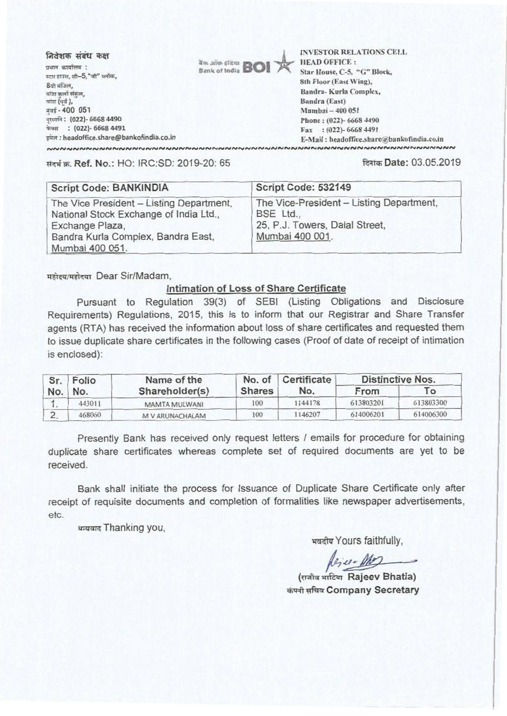निवेशक संबंध कक्ष प्रधान कार्यालय :

स्टार हाउस, सी-5, "जी" ब्लॉक, 8वी मंजिल, बांद्रा कर्ला संकल, बांडा (पूर्व ), मंबई - 400 051 दरब्बनि: (022)- 6668 4490 फेक्स : (022)- 6668 4491 इमेल : headoffice.share@bankofindia.co.in



**INVESTOR RELATIONS CELL HEAD OFFICE:** Star House, C-5, "G" Block, 8th Floor (East Wing), Bandra-Kurla Complex, Bandra (East) Mumbai - 400 051 Phone: (022)- 6668 4490 Fax: (022)-6668 4491 E-Mail: headoffice.share@bankofindia.co.in 

संदर्भ क. Ref. No.: HO: IRC:SD: 2019-20: 65

## दिनांक Date: 03.05.2019

| <b>Script Code: BANKINDIA</b>                                                                                                                                  | Script Code: 532149                                                                                        |
|----------------------------------------------------------------------------------------------------------------------------------------------------------------|------------------------------------------------------------------------------------------------------------|
| The Vice President - Listing Department,<br>National Stock Exchange of India Ltd.,<br>Exchange Plaza,<br>Bandra Kurla Complex, Bandra East,<br>Mumbai 400 051. | The Vice-President - Listing Department,<br>BSE Ltd.,<br>25, P.J. Towers, Dalal Street,<br>Mumbai 400 001. |

महोदय/महोदया Dear Sir/Madam.

## Intimation of Loss of Share Certificate

Pursuant to Regulation 39(3) of SEBI (Listing Obligations and Disclosure Requirements) Regulations, 2015, this is to inform that our Registrar and Share Transfer agents (RTA) has received the information about loss of share certificates and requested them to issue duplicate share certificates in the following cases (Proof of date of receipt of intimation is enclosed):

| Sr. | Folio<br>No. | Name of the     | No. of        | Certificate | <b>Distinctive Nos.</b> |           |
|-----|--------------|-----------------|---------------|-------------|-------------------------|-----------|
| No. |              | Shareholder(s)  | <b>Shares</b> | No.         | From                    | To.       |
|     | 443011       | MAMTA MULWANI   | 100           | 1144178     | 613803201               | 613803300 |
|     | 468060       | M V ARUNACHALAM | 100           | 1146207     | 614006201               | 614006300 |

Presently Bank has received only request letters / emails for procedure for obtaining duplicate share certificates whereas complete set of required documents are yet to be received.

Bank shall initiate the process for Issuance of Duplicate Share Certificate only after receipt of requisite documents and completion of formalities like newspaper advertisements, etc.

धन्यवाद Thanking you,

भवदीय Yours faithfully,

Rejer Mes

(राजीव भाटिया Rajeev Bhatia) कंपनी सचिव Company Secretary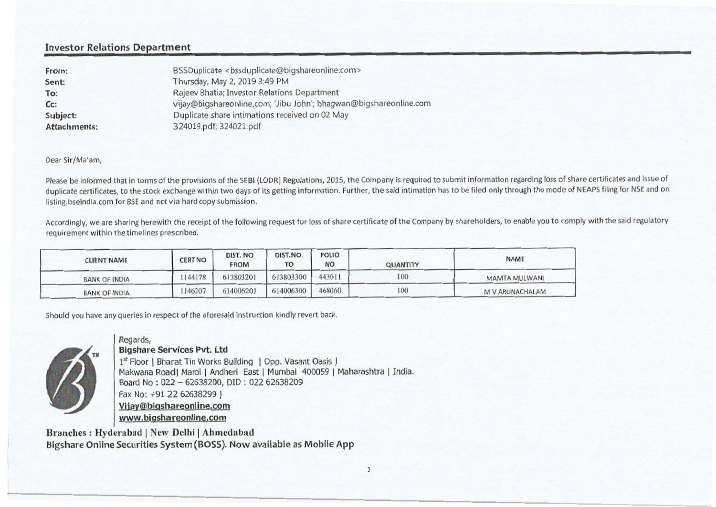## Investor Relations Department

| From:               | BSSDuplicate <bssduplicate@bigshareonline.com></bssduplicate@bigshareonline.com> |
|---------------------|----------------------------------------------------------------------------------|
| Sent:               | Thursday, May 2, 2019 3:49 PM                                                    |
| To:                 | Rajeev Bhatia; Investor Relations Department                                     |
| $Cc$ :              | vijay@bigshareonline.com; 'Jibu John'; bhagwan@bigshareonline.com                |
| Subject:            | Duplicate share intimations received on 02 May                                   |
| <b>Attachments:</b> | 324019.pdf; 324021.pdf                                                           |
|                     |                                                                                  |

Dear Sir/Ma'am,

Please be informed that in terms of the provisions of the SEBI (LODR) Regulations, 2015, the Company is required to submit information regarding loss of share certificates and issue of duplicate certificates, to the stock exchange within two days of its getting information. Further, the said intimation has to be filed only through the mode of NEAPS filing for NSE and on listing.bseindia.com for BSE and not via hard copy submission.

Accordingly, we are sharing herewith the receipt of the following request for loss of share certificate of the Company by shareholders, to enable you to comply with the said regulatory requirement within the timelines prescribed.

| <b>CLIENT NAME</b>   | <b>CERT NO</b> | DIST. NO<br><b>FROM</b> | DIST.NO.<br>TO | <b>FOLIO</b><br>NO | <b>QUANTITY</b> | <b>NAME</b>     |
|----------------------|----------------|-------------------------|----------------|--------------------|-----------------|-----------------|
| <b>BANK OF INDIA</b> | 1144178        | 613803201               | 613803300      | 443011             | 100             | MAMTA MULWANI   |
| BANK OF INDIA        | 146207         | 614006201               | 614006300      | 468060             | 100             | M V ARUNACHALAM |

Should you have any queries in respect of the aforesaid instruction kindly revert back.



Regards, **Bigshare Services Pvt. Ltd**  1<sup>st</sup> Floor | Bharat Tin Works Building | Opp. Vasant Oasis | Makwana Road| Marol | Andheri East | Mumbai 400059 | Maharashtra | India. Board No : 022 — 62638200, DID : 022 62638209 Fax No: +91 22 62638299 I Viiavabiashareonline.com www.bioshareonline.com

Branches : Hyderabad I New Delhi I Ahmedabad Bigshare Online Securities System (BOSS). Now available as Mobile App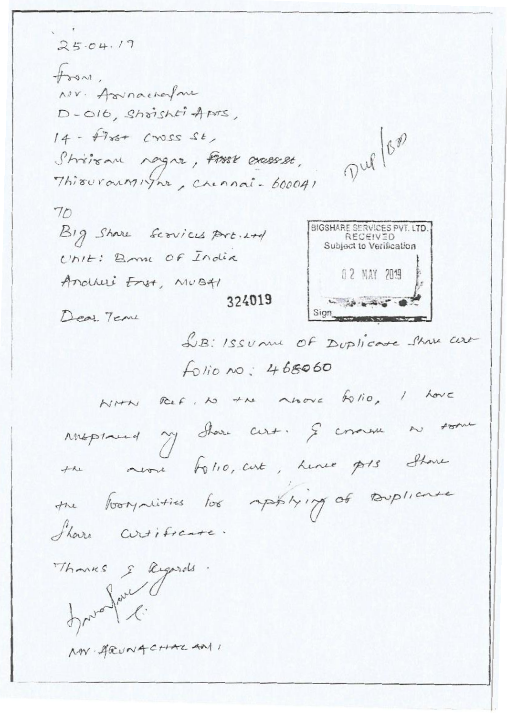$25.04.17$  $\downarrow$ Nov. Association D-016, Shrishti Aprs, Dup/Bas  $14 - 17 + 12$ Shrisan nagne, First crasses, Thiswranninght, Chennai-600041 70 BIGSHARE SERVICES PVT. LTD. Big Share Scrvices Part. L+d **RECEIVED** Subject to Verification Unit: Bank OF India 02 MAY 2019 Andheri Enst, MUBAI 324019  $-38 - 48 - 82$ Sign Dear Tem LB: ISSUME OF DUPLICATE STAN CERE folio no: 468060 NHN Ref. No the move folio, I have  $+5\pi$ y chare cert. Je comme  $Myplaned$ neone folio, curt, Linee pors Shore  $+11$ the borquities for applying of Dupliance Share Cirtificate Thomas & Regards friend faul MV. ARUNG CHAZ AN 1